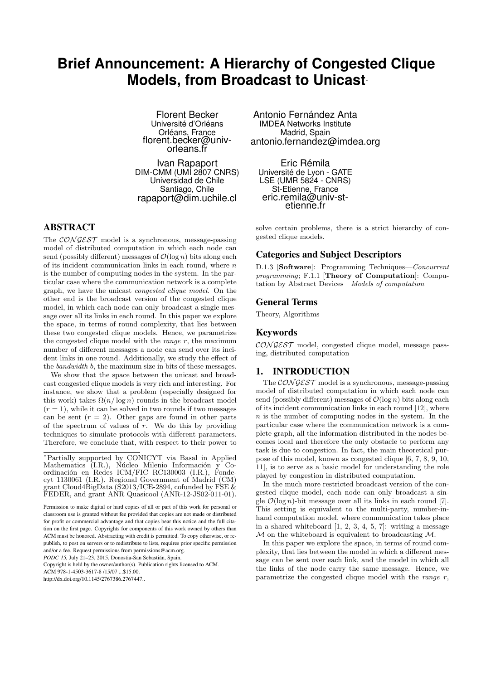# **Brief Announcement: A Hierarchy of Congested Clique Models, from Broadcast to Unicast**<sup>∗</sup>

Florent Becker Université d'Orléans Orléans, France florent.becker@univorleans.fr

Ivan Rapaport DIM-CMM (UMI 2807 CNRS) Universidad de Chile Santiago, Chile rapaport@dim.uchile.cl

# ABSTRACT

The  $\mathcal{CONGEST}$  model is a synchronous, message-passing model of distributed computation in which each node can send (possibly different) messages of  $\mathcal{O}(\log n)$  bits along each of its incident communication links in each round, where  $n$ is the number of computing nodes in the system. In the particular case where the communication network is a complete graph, we have the unicast congested clique model. On the other end is the broadcast version of the congested clique model, in which each node can only broadcast a single message over all its links in each round. In this paper we explore the space, in terms of round complexity, that lies between these two congested clique models. Hence, we parametrize the congested clique model with the *range*  $r$ , the maximum number of different messages a node can send over its incident links in one round. Additionally, we study the effect of the bandwidth b, the maximum size in bits of these messages.

We show that the space between the unicast and broadcast congested clique models is very rich and interesting. For instance, we show that a problem (especially designed for this work) takes  $\Omega(n/\log n)$  rounds in the broadcast model  $(r = 1)$ , while it can be solved in two rounds if two messages can be sent  $(r = 2)$ . Other gaps are found in other parts of the spectrum of values of  $r$ . We do this by providing techniques to simulate protocols with different parameters. Therefore, we conclude that, with respect to their power to

Copyright is held by the owner/author(s). Publication rights licensed to ACM.

ACM 978-1-4503-3617-8 /15/07 \$15.00

http://dx.doi.org/10.1145/2767386.2767447..

Antonio Fernández Anta IMDEA Networks Institute Madrid, Spain antonio.fernandez@imdea.org

Eric Rémila Université de Lyon - GATE LSE (UMR 5824 - CNRS) St-Etienne, France eric.remila@univ-stetienne.fr

solve certain problems, there is a strict hierarchy of congested clique models.

### Categories and Subject Descriptors

D.1.3 [Software]: Programming Techniques—Concurrent programming; F.1.1 [Theory of Computation]: Computation by Abstract Devices—Models of computation

#### General Terms

Theory, Algorithms

## Keywords

 $CONGEST$  model, congested clique model, message passing, distributed computation

## 1. INTRODUCTION

The  $\mathcal{CONGEST}$  model is a synchronous, message-passing model of distributed computation in which each node can send (possibly different) messages of  $\mathcal{O}(\log n)$  bits along each of its incident communication links in each round [12], where  $n$  is the number of computing nodes in the system. In the particular case where the communication network is a complete graph, all the information distributed in the nodes becomes local and therefore the only obstacle to perform any task is due to congestion. In fact, the main theoretical purpose of this model, known as congested clique [6, 7, 8, 9, 10, 11], is to serve as a basic model for understanding the role played by congestion in distributed computation.

In the much more restricted broadcast version of the congested clique model, each node can only broadcast a single  $\mathcal{O}(\log n)$ -bit message over all its links in each round [7]. This setting is equivalent to the multi-party, number-inhand computation model, where communication takes place in a shared whiteboard [1, 2, 3, 4, 5, 7]: writing a message M on the whiteboard is equivalent to broadcasting M.

In this paper we explore the space, in terms of round complexity, that lies between the model in which a different message can be sent over each link, and the model in which all the links of the node carry the same message. Hence, we parametrize the congested clique model with the range  $r$ ,

<sup>∗</sup>Partially supported by CONICYT via Basal in Applied Mathematics (I.R.), Núcleo Milenio Información y Coordinación en Redes ICM/FIC RC130003 (I.R.), Fondecyt 1130061 (I.R.), Regional Government of Madrid (CM) grant Cloud4BigData ( $\overline{S}2013/\overline{ICE}$ -2894, cofunded by FSE  $\&$ FEDER, and grant ANR Quasicool (ANR-12-JS02-011-01).

Permission to make digital or hard copies of all or part of this work for personal or classroom use is granted without fee provided that copies are not made or distributed for profit or commercial advantage and that copies bear this notice and the full citation on the first page. Copyrights for components of this work owned by others than ACM must be honored. Abstracting with credit is permitted. To copy otherwise, or republish, to post on servers or to redistribute to lists, requires prior specific permission and/or a fee. Request permissions from permissions@acm.org.

*PODC'15,* July 21–23, 2015, Donostia-San Sebastián, Spain.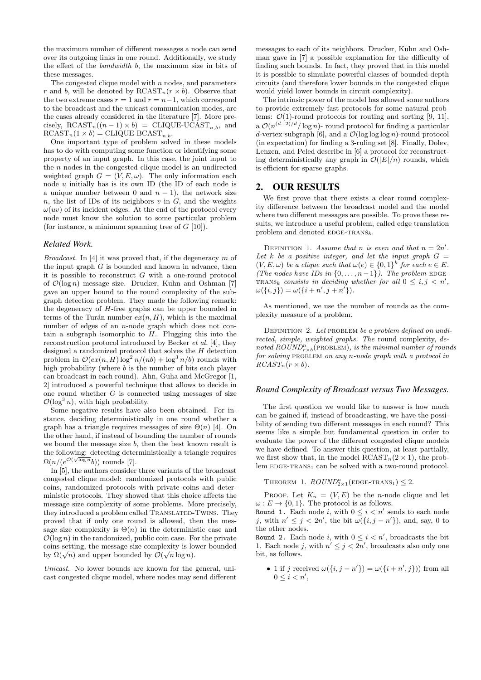the maximum number of different messages a node can send over its outgoing links in one round. Additionally, we study the effect of the bandwidth b, the maximum size in bits of these messages.

The congested clique model with  $n$  nodes, and parameters r and b, will be denoted by  $RCAST_n(r \times b)$ . Observe that the two extreme cases  $r = 1$  and  $r = n-1$ , which correspond to the broadcast and the unicast communication modes, are the cases already considered in the literature [7]. More precisely,  $RCAST_n((n-1) \times b) = CLIQUE-UCAST_{n,b}$ , and  $RCAST_n(1 \times b) = CLIQUE-BCAST_{n,b}.$ 

One important type of problem solved in these models has to do with computing some function or identifying some property of an input graph. In this case, the joint input to the n nodes in the congested clique model is an undirected weighted graph  $G = (V, E, \omega)$ . The only information each node u initially has is its own ID (the ID of each node is a unique number between 0 and  $n - 1$ , the network size n, the list of IDs of its neighbors  $v$  in  $G$ , and the weights  $\omega(uv)$  of its incident edges. At the end of the protocol every node must know the solution to some particular problem (for instance, a minimum spanning tree of  $G$  [10]).

#### *Related Work.*

*Broadcast.* In [4] it was proved that, if the degeneracy  $m$  of the input graph  $G$  is bounded and known in advance, then it is possible to reconstruct G with a one-round protocol of  $\mathcal{O}(\log n)$  message size. Drucker, Kuhn and Oshman [7] gave an upper bound to the round complexity of the subgraph detection problem. They made the following remark: the degeneracy of H-free graphs can be upper bounded in terms of the Turán number  $ex(n, H)$ , which is the maximal number of edges of an *n*-node graph which does not contain a subgraph isomorphic to  $H$ . Plugging this into the reconstruction protocol introduced by Becker et al. [4], they designed a randomized protocol that solves the H detection problem in  $\mathcal{O}(ex(n, H) \log^2 n/(nb) + \log^3 n/b)$  rounds with high probability (where b is the number of bits each player can broadcast in each round). Ahn, Guha and McGregor [1, 2] introduced a powerful technique that allows to decide in one round whether  $G$  is connected using messages of size  $\mathcal{O}(\log^3 n)$ , with high probability.

Some negative results have also been obtained. For instance, deciding deterministically in one round whether a graph has a triangle requires messages of size  $\Theta(n)$  [4]. On the other hand, if instead of bounding the number of rounds we bound the message size  $b$ , then the best known result is the following: detecting deterministically a triangle requires  $\Omega(n/(e^{\mathcal{O}(\sqrt{\log n}}b))$  rounds [7].

In [5], the authors consider three variants of the broadcast congested clique model: randomized protocols with public coins, randomized protocols with private coins and deterministic protocols. They showed that this choice affects the message size complexity of some problems. More precisely, they introduced a problem called TRANSLATED-TWINS. They proved that if only one round is allowed, then the message size complexity is  $\Theta(n)$  in the deterministic case and  $\mathcal{O}(\log n)$  in the randomized, public coin case. For the private coins setting, the message size complexity is lower bounded coins setting, the message size complexity is to<br>by  $\Omega(\sqrt{n})$  and upper bounded by  $\mathcal{O}(\sqrt{n}\log n)$ .

Unicast. No lower bounds are known for the general, unicast congested clique model, where nodes may send different messages to each of its neighbors. Drucker, Kuhn and Oshman gave in [7] a possible explanation for the difficulty of finding such bounds. In fact, they proved that in this model it is possible to simulate powerful classes of bounded-depth circuits (and therefore lower bounds in the congested clique would yield lower bounds in circuit complexity).

The intrinsic power of the model has allowed some authors to provide extremely fast protocols for some natural problems:  $\mathcal{O}(1)$ -round protocols for routing and sorting [9, 11], a  $\mathcal{O}(n^{(d-2)/d}/\log n)$ - round protocol for finding a particular d-vertex subgraph [6], and a  $\mathcal{O}(\log \log \log n)$ -round protocol (in expectation) for finding a 3-ruling set [8]. Finally, Dolev, Lenzen, and Peled describe in [6] a protocol for reconstructing deterministically any graph in  $\mathcal{O}(|E|/n)$  rounds, which is efficient for sparse graphs.

### 2. OUR RESULTS

We first prove that there exists a clear round complexity difference between the broadcast model and the model where two different messages are possible. To prove these results, we introduce a useful problem, called edge translation problem and denoted EDGE-TRANS<sub>k</sub>.

DEFINITION 1. Assume that n is even and that  $n = 2n'$ . Let k be a positive integer, and let the input graph  $G =$  $(V, E, \omega)$  be a clique such that  $\omega(e) \in \{0,1\}^k$  for each  $e \in E$ . (The nodes have IDs in  $\{0, \ldots, n-1\}$ ). The problem EDGE-TRANS<sub>k</sub> consists in deciding whether for all  $0 \leq i, j \leq n'$ ,  $\omega(\{i, j\}) = \omega(\{i + n', j + n'\}).$ 

As mentioned, we use the number of rounds as the complexity measure of a problem.

DEFINITION 2. Let PROBLEM be a problem defined on undirected, simple, weighted graphs. The round complexity, denoted  $\text{ROUND}_{r\times b}^n$  (PROBLEM), is the minimal number of rounds for solving PROBLEM on any n-node graph with a protocol in  $RCAST_n(r \times b)$ .

#### *Round Complexity of Broadcast versus Two Messages.*

The first question we would like to answer is how much can be gained if, instead of broadcasting, we have the possibility of sending two different messages in each round? This seems like a simple but fundamental question in order to evaluate the power of the different congested clique models we have defined. To answer this question, at least partially, we first show that, in the model  $RCAST_n(2 \times 1)$ , the problem  $EDGE-TRANS_1$  can be solved with a two-round protocol.

THEOREM 1.  $ROUND_{2\times 1}^n(\text{EDGE-TRANS}_1) \leq 2$ .

PROOF. Let  $K_n = (V, E)$  be the *n*-node clique and let  $\omega: E \to \{0, 1\}$ . The protocol is as follows.

Round 1. Each node i, with  $0 \leq i < n'$  sends to each node j, with  $n' \leq j < 2n'$ , the bit  $\omega({i, j - n'}),$  and, say, 0 to the other nodes.

Round 2. Each node *i*, with  $0 \leq i \leq n'$ , broadcasts the bit 1. Each node j, with  $n' \leq j < 2n'$ , broadcasts also only one bit, as follows.

• 1 if j received  $\omega({i, j - n'}) = \omega({i + n', j})$  from all  $0 \leq i < n',$